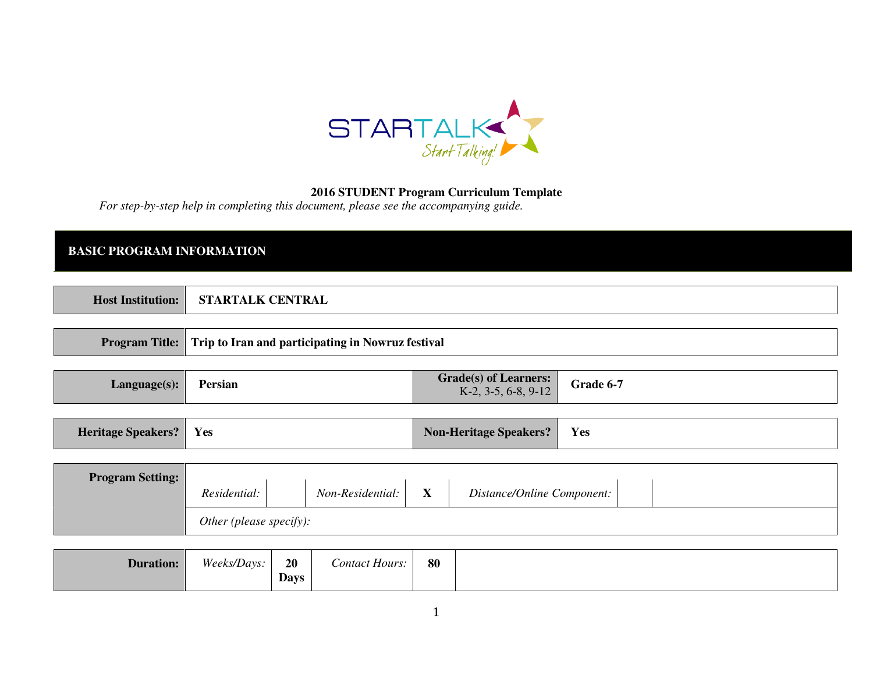

### **2016 STUDENT Program Curriculum Template**

*For step-by-step help in completing this document, please see the accompanying guide.* 

# **BASIC PROGRAM INFORMATION**

| Host Institution:   STARTALK CENTRAL                                    |  |
|-------------------------------------------------------------------------|--|
|                                                                         |  |
| <b>Program Title:</b> Trip to Iran and participating in Nowruz festival |  |

| Language(s): | Persian | Grade(s) of Learners:<br>$K-2$ , 3-5, 6-8, 9-12 | Grade 6-7 |
|--------------|---------|-------------------------------------------------|-----------|
|              |         |                                                 |           |

| Non-Heritage Speakers?<br>Yes<br><b>Heritage Speakers?</b><br>Yes |
|-------------------------------------------------------------------|
|-------------------------------------------------------------------|

| <b>Program Setting:</b> |                         |                  |                           |                            |  |
|-------------------------|-------------------------|------------------|---------------------------|----------------------------|--|
|                         | Residential:            | Non-Residential: | $\mathbf{v}$<br>$\Lambda$ | Distance/Online Component: |  |
|                         | Other (please specify): |                  |                           |                            |  |

|--|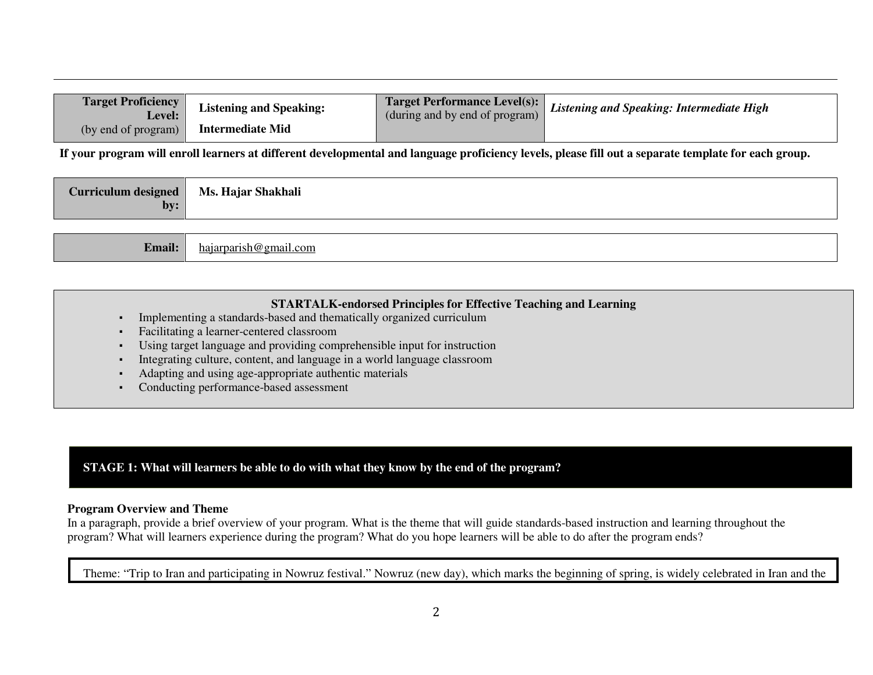| <b>Target Proficiency</b><br>Level: | <b>Listening and Speaking:</b> | (during and by end of program) | Target Performance Level(s): Listening and Speaking: Intermediate High |
|-------------------------------------|--------------------------------|--------------------------------|------------------------------------------------------------------------|
| (by end of program) $\vert$         | <b>Intermediate Mid</b>        |                                |                                                                        |

**If your program will enroll learners at different developmental and language proficiency levels, please fill out a separate template for each group.**

| Curriculum designed<br>bv: | Ms. Hajar Shakhali |
|----------------------------|--------------------|
|                            |                    |

| $\sim$<br>.1ar<br>วลr<br>инан | rish@gmail.com |
|-------------------------------|----------------|
|-------------------------------|----------------|

#### **STARTALK-endorsed Principles for Effective Teaching and Learning**

- ▪Implementing a standards-based and thematically organized curriculum
- ▪Facilitating a learner-centered classroom
- ▪Using target language and providing comprehensible input for instruction
- ▪Integrating culture, content, and language in a world language classroom
- ▪Adapting and using age-appropriate authentic materials
- ▪Conducting performance-based assessment

**STAGE 1: What will learners be able to do with what they know by the end of the program?**

#### **Program Overview and Theme**

 In a paragraph, provide a brief overview of your program. What is the theme that will guide standards-based instruction and learning throughout the program? What will learners experience during the program? What do you hope learners will be able to do after the program ends?

Theme: "Trip to Iran and participating in Nowruz festival." Nowruz (new day), which marks the beginning of spring, is widely celebrated in Iran and the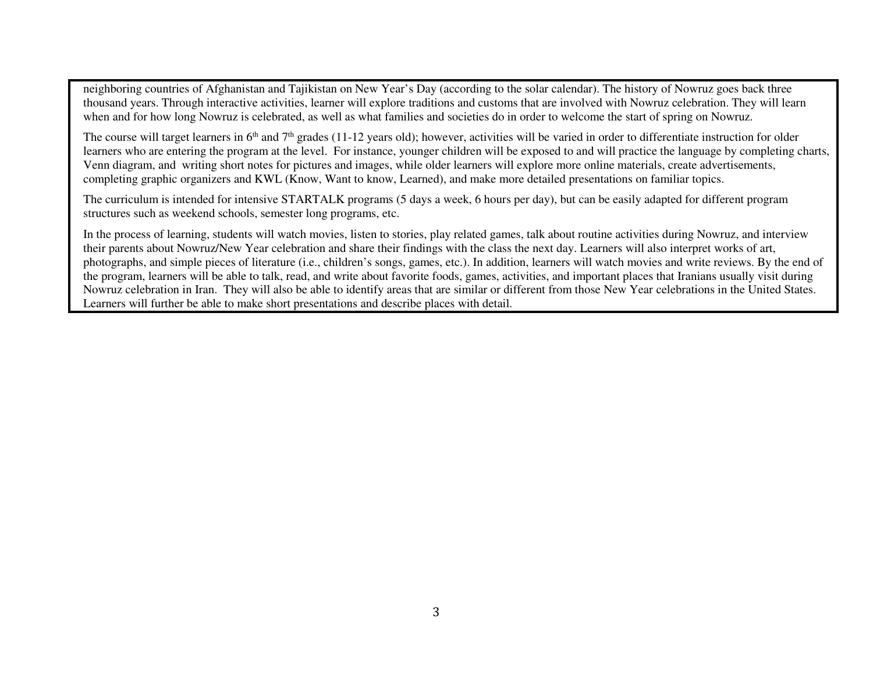neighboring countries of Afghanistan and Tajikistan on New Year's Day (according to the solar calendar). The history of Nowruz goes back three thousand years. Through interactive activities, learner will explore traditions and customs that are involved with Nowruz celebration. They will learn when and for how long Nowruz is celebrated, as well as what families and societies do in order to welcome the start of spring on Nowruz.

The course will target learners in  $6<sup>th</sup>$  and  $7<sup>th</sup>$  grades (11-12 years old); however, activities will be varied in order to differentiate instruction for older learners who are entering the program at the level. For instance, younger children will be exposed to and will practice the language by completing charts, Venn diagram, and writing short notes for pictures and images, while older learners will explore more online materials, create advertisements, completing graphic organizers and KWL (Know, Want to know, Learned), and make more detailed presentations on familiar topics.

The curriculum is intended for intensive STARTALK programs (5 days a week, 6 hours per day), but can be easily adapted for different program structures such as weekend schools, semester long programs, etc.

In the process of learning, students will watch movies, listen to stories, play related games, talk about routine activities during Nowruz, and interviewtheir parents about Nowruz/New Year celebration and share their findings with the class the next day. Learners will also interpret works of art, photographs, and simple pieces of literature (i.e., children's songs, games, etc.). In addition, learners will watch movies and write reviews. By the end of the program, learners will be able to talk, read, and write about favorite foods, games, activities, and important places that Iranians usually visit during Nowruz celebration in Iran. They will also be able to identify areas that are similar or different from those New Year celebrations in the United States. Learners will further be able to make short presentations and describe places with detail.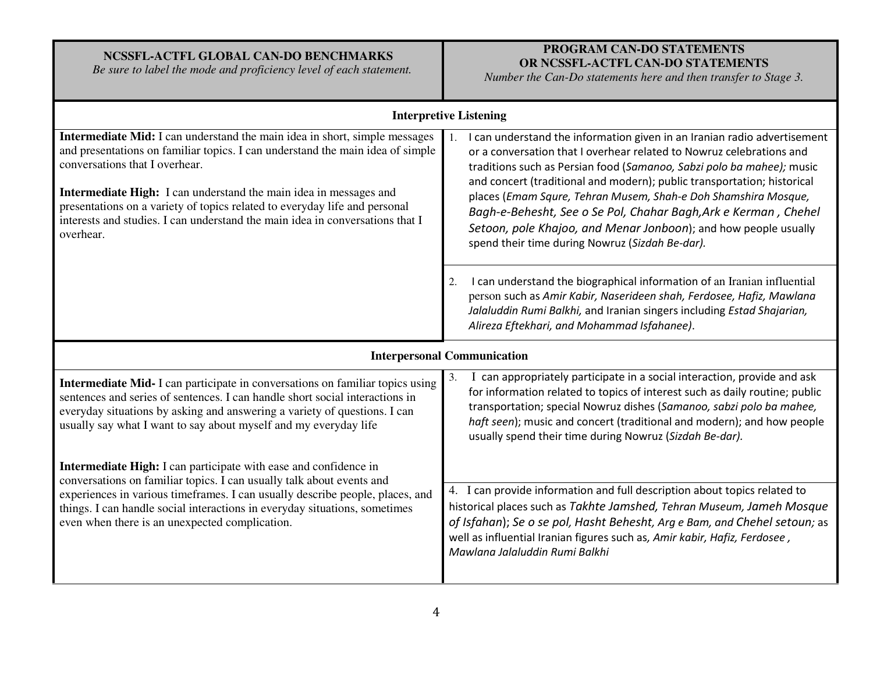# **NCSSFL-ACTFL GLOBAL CAN-DO BENCHMARKS**

*Be sure to label the mode and proficiency level of each statement.*

# **PROGRAM CAN-DO STATEMENTS OR NCSSFL-ACTFL CAN-DO STATEMENTS**

*Number the Can-Do statements here and then transfer to Stage 3.* 

| <b>Interpretive Listening</b>                                                                                                                                                                                                                                                                                                                                                                                                                                 |                                                                                                                                                                                                                                                                                                                                                                                                                                                                                                                                                                 |  |  |
|---------------------------------------------------------------------------------------------------------------------------------------------------------------------------------------------------------------------------------------------------------------------------------------------------------------------------------------------------------------------------------------------------------------------------------------------------------------|-----------------------------------------------------------------------------------------------------------------------------------------------------------------------------------------------------------------------------------------------------------------------------------------------------------------------------------------------------------------------------------------------------------------------------------------------------------------------------------------------------------------------------------------------------------------|--|--|
| <b>Intermediate Mid:</b> I can understand the main idea in short, simple messages<br>and presentations on familiar topics. I can understand the main idea of simple<br>conversations that I overhear.<br><b>Intermediate High:</b> I can understand the main idea in messages and<br>presentations on a variety of topics related to everyday life and personal<br>interests and studies. I can understand the main idea in conversations that I<br>overhear. | I can understand the information given in an Iranian radio advertisement<br>or a conversation that I overhear related to Nowruz celebrations and<br>traditions such as Persian food (Samanoo, Sabzi polo ba mahee); music<br>and concert (traditional and modern); public transportation; historical<br>places (Emam Squre, Tehran Musem, Shah-e Doh Shamshira Mosque,<br>Bagh-e-Behesht, See o Se Pol, Chahar Bagh, Ark e Kerman, Chehel<br>Setoon, pole Khajoo, and Menar Jonboon); and how people usually<br>spend their time during Nowruz (Sizdah Be-dar). |  |  |
|                                                                                                                                                                                                                                                                                                                                                                                                                                                               | I can understand the biographical information of an Iranian influential<br>2.<br>person such as Amir Kabir, Naserideen shah, Ferdosee, Hafiz, Mawlana<br>Jalaluddin Rumi Balkhi, and Iranian singers including Estad Shajarian,<br>Alireza Eftekhari, and Mohammad Isfahanee).                                                                                                                                                                                                                                                                                  |  |  |
| <b>Interpersonal Communication</b>                                                                                                                                                                                                                                                                                                                                                                                                                            |                                                                                                                                                                                                                                                                                                                                                                                                                                                                                                                                                                 |  |  |
| <b>Intermediate Mid-</b> I can participate in conversations on familiar topics using<br>sentences and series of sentences. I can handle short social interactions in<br>everyday situations by asking and answering a variety of questions. I can<br>usually say what I want to say about myself and my everyday life                                                                                                                                         | I can appropriately participate in a social interaction, provide and ask<br>3.<br>for information related to topics of interest such as daily routine; public<br>transportation; special Nowruz dishes (Samanoo, sabzi polo ba mahee,<br>haft seen); music and concert (traditional and modern); and how people<br>usually spend their time during Nowruz (Sizdah Be-dar).                                                                                                                                                                                      |  |  |
| Intermediate High: I can participate with ease and confidence in<br>conversations on familiar topics. I can usually talk about events and<br>experiences in various timeframes. I can usually describe people, places, and<br>things. I can handle social interactions in everyday situations, sometimes<br>even when there is an unexpected complication.                                                                                                    | 4. I can provide information and full description about topics related to<br>historical places such as Takhte Jamshed, Tehran Museum, Jameh Mosque<br>of Isfahan); Se o se pol, Hasht Behesht, Arg e Bam, and Chehel setoun; as<br>well as influential Iranian figures such as, Amir kabir, Hafiz, Ferdosee,<br>Mawlana Jalaluddin Rumi Balkhi                                                                                                                                                                                                                  |  |  |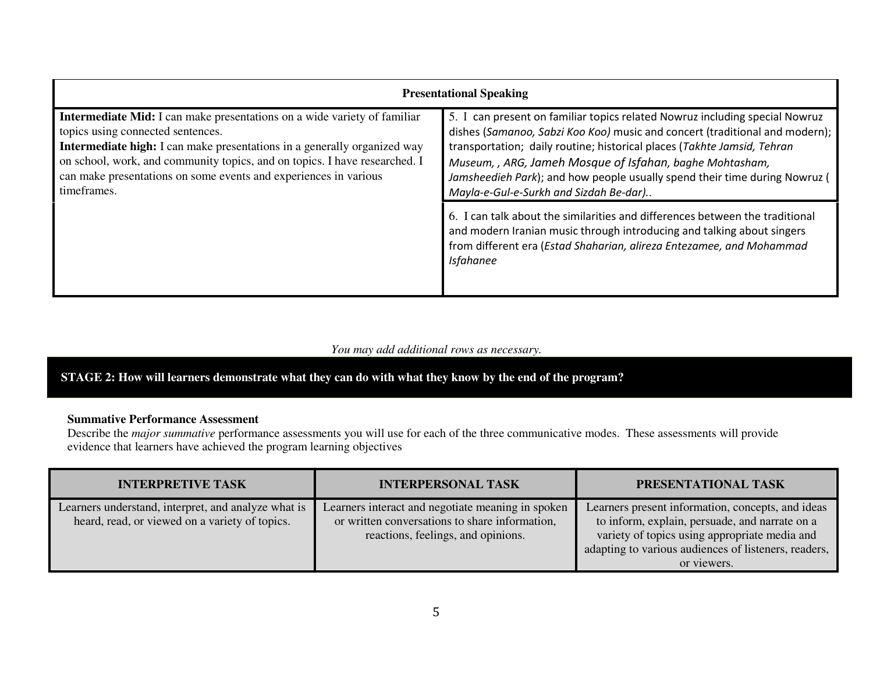| <b>Presentational Speaking</b>                                                                                                                                                                                                                                                                                                                                           |                                                                                                                                                                                                                                                                                                                                                                                                                             |  |  |
|--------------------------------------------------------------------------------------------------------------------------------------------------------------------------------------------------------------------------------------------------------------------------------------------------------------------------------------------------------------------------|-----------------------------------------------------------------------------------------------------------------------------------------------------------------------------------------------------------------------------------------------------------------------------------------------------------------------------------------------------------------------------------------------------------------------------|--|--|
| <b>Intermediate Mid:</b> I can make presentations on a wide variety of familiar<br>topics using connected sentences.<br><b>Intermediate high:</b> I can make presentations in a generally organized way<br>on school, work, and community topics, and on topics. I have researched. I<br>can make presentations on some events and experiences in various<br>timeframes. | 5. I can present on familiar topics related Nowruz including special Nowruz<br>dishes (Samanoo, Sabzi Koo Koo) music and concert (traditional and modern);  <br>transportation; daily routine; historical places (Takhte Jamsid, Tehran<br>Museum, , ARG, Jameh Mosque of Isfahan, baghe Mohtasham,<br>Jamsheedieh Park); and how people usually spend their time during Nowruz (<br>Mayla-e-Gul-e-Surkh and Sizdah Be-dar) |  |  |
|                                                                                                                                                                                                                                                                                                                                                                          | 6. I can talk about the similarities and differences between the traditional<br>and modern Iranian music through introducing and talking about singers<br>from different era (Estad Shaharian, alireza Entezamee, and Mohammad<br><b>Isfahanee</b>                                                                                                                                                                          |  |  |

### *You may add additional rows as necessary.*

## **STAGE 2: How will learners demonstrate what they can do with what they know by the end of the program?**

### **Summative Performance Assessment**

 Describe the *major summative* performance assessments you will use for each of the three communicative modes. These assessments will provide evidence that learners have achieved the program learning objectives

| <b>INTERPRETIVE TASK</b>                                                                              | <b>INTERPERSONAL TASK</b>                                                                                                                 | PRESENTATIONAL TASK                                                                                                                                                                                                         |
|-------------------------------------------------------------------------------------------------------|-------------------------------------------------------------------------------------------------------------------------------------------|-----------------------------------------------------------------------------------------------------------------------------------------------------------------------------------------------------------------------------|
| Learners understand, interpret, and analyze what is<br>heard, read, or viewed on a variety of topics. | Learners interact and negotiate meaning in spoken<br>or written conversations to share information,<br>reactions, feelings, and opinions. | Learners present information, concepts, and ideas<br>to inform, explain, persuade, and narrate on a<br>variety of topics using appropriate media and<br>adapting to various audiences of listeners, readers,<br>or viewers. |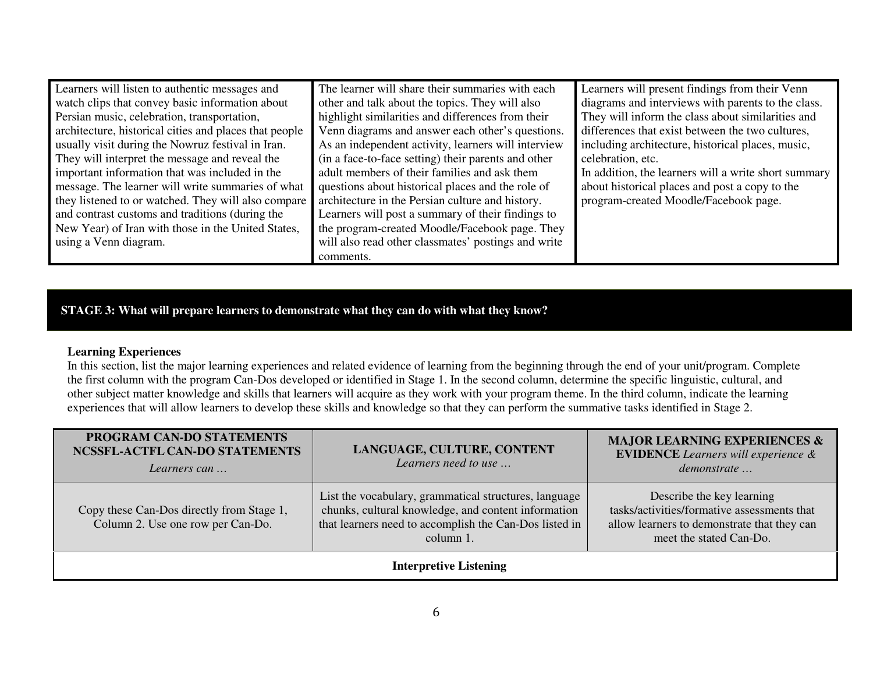| Learners will listen to authentic messages and         | The learner will share their summaries with each    | Learners will present findings from their Venn       |
|--------------------------------------------------------|-----------------------------------------------------|------------------------------------------------------|
| watch clips that convey basic information about        | other and talk about the topics. They will also     | diagrams and interviews with parents to the class.   |
| Persian music, celebration, transportation,            | highlight similarities and differences from their   | They will inform the class about similarities and    |
| architecture, historical cities and places that people | Venn diagrams and answer each other's questions.    | differences that exist between the two cultures,     |
| usually visit during the Nowruz festival in Iran.      | As an independent activity, learners will interview | including architecture, historical places, music,    |
| They will interpret the message and reveal the         | (in a face-to-face setting) their parents and other | celebration, etc.                                    |
| important information that was included in the         | adult members of their families and ask them        | In addition, the learners will a write short summary |
| message. The learner will write summaries of what      | questions about historical places and the role of   | about historical places and post a copy to the       |
| they listened to or watched. They will also compare    | architecture in the Persian culture and history.    | program-created Moodle/Facebook page.                |
| and contrast customs and traditions (during the        | Learners will post a summary of their findings to   |                                                      |
| New Year) of Iran with those in the United States,     | the program-created Moodle/Facebook page. They      |                                                      |
| using a Venn diagram.                                  | will also read other classmates' postings and write |                                                      |
|                                                        | comments.                                           |                                                      |

### **STAGE 3: What will prepare learners to demonstrate what they can do with what they know?**

#### **Learning Experiences**

 In this section, list the major learning experiences and related evidence of learning from the beginning through the end of your unit/program. Complete the first column with the program Can-Dos developed or identified in Stage 1. In the second column, determine the specific linguistic, cultural, and other subject matter knowledge and skills that learners will acquire as they work with your program theme. In the third column, indicate the learning experiences that will allow learners to develop these skills and knowledge so that they can perform the summative tasks identified in Stage 2.

| PROGRAM CAN-DO STATEMENTS<br>NCSSFL-ACTFL CAN-DO STATEMENTS<br>Learners can    | LANGUAGE, CULTURE, CONTENT<br>Learners need to use                                                                                                                                  | <b>MAJOR LEARNING EXPERIENCES &amp;</b><br><b>EVIDENCE</b> Learners will experience &<br>demonstrate                                               |
|--------------------------------------------------------------------------------|-------------------------------------------------------------------------------------------------------------------------------------------------------------------------------------|----------------------------------------------------------------------------------------------------------------------------------------------------|
| Copy these Can-Dos directly from Stage 1,<br>Column 2. Use one row per Can-Do. | List the vocabulary, grammatical structures, language<br>chunks, cultural knowledge, and content information<br>that learners need to accomplish the Can-Dos listed in<br>column 1. | Describe the key learning<br>tasks/activities/formative assessments that<br>allow learners to demonstrate that they can<br>meet the stated Can-Do. |
| <b>Interpretive Listening</b>                                                  |                                                                                                                                                                                     |                                                                                                                                                    |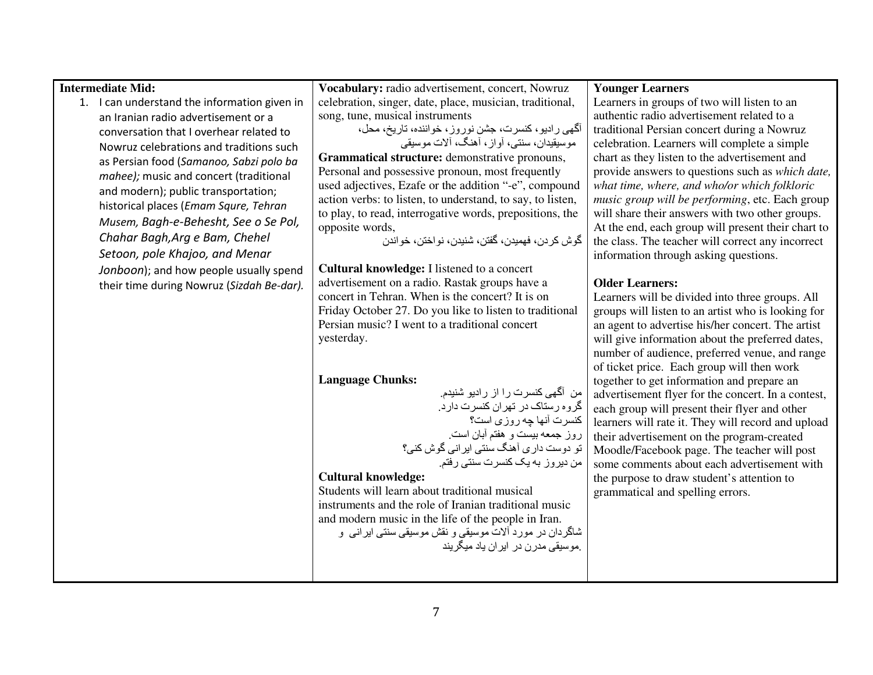| <b>Intermediate Mid:</b>                     | Vocabulary: radio advertisement, concert, Nowruz                                                                       | <b>Younger Learners</b>                                                                             |
|----------------------------------------------|------------------------------------------------------------------------------------------------------------------------|-----------------------------------------------------------------------------------------------------|
| 1. I can understand the information given in | celebration, singer, date, place, musician, traditional,                                                               | Learners in groups of two will listen to an                                                         |
| an Iranian radio advertisement or a          | song, tune, musical instruments                                                                                        | authentic radio advertisement related to a                                                          |
| conversation that I overhear related to      | أگهي راديو، كنسرت، جشن نوروز، خواننده، تاريخ، محل،                                                                     | traditional Persian concert during a Nowruz                                                         |
| Nowruz celebrations and traditions such      | موسیقیدان، سنتبی، أواز، أهنگ، ألات موسیقی                                                                              | celebration. Learners will complete a simple                                                        |
| as Persian food (Samanoo, Sabzi polo ba      | Grammatical structure: demonstrative pronouns,                                                                         | chart as they listen to the advertisement and                                                       |
| mahee); music and concert (traditional       | Personal and possessive pronoun, most frequently                                                                       | provide answers to questions such as which date,                                                    |
| and modern); public transportation;          | used adjectives, Ezafe or the addition "-e", compound                                                                  | what time, where, and who/or which folkloric                                                        |
| historical places (Emam Squre, Tehran        | action verbs: to listen, to understand, to say, to listen,<br>to play, to read, interrogative words, prepositions, the | music group will be performing, etc. Each group<br>will share their answers with two other groups.  |
| Musem, Bagh-e-Behesht, See o Se Pol,         | opposite words,                                                                                                        | At the end, each group will present their chart to                                                  |
| Chahar Bagh, Arg e Bam, Chehel               | گو ش کر دن، فهميدن، گفتن، شنيدن، نو اختن، خو اندن                                                                      | the class. The teacher will correct any incorrect                                                   |
| Setoon, pole Khajoo, and Menar               |                                                                                                                        | information through asking questions.                                                               |
| Jonboon); and how people usually spend       | Cultural knowledge: I listened to a concert                                                                            |                                                                                                     |
| their time during Nowruz (Sizdah Be-dar).    | advertisement on a radio. Rastak groups have a                                                                         | <b>Older Learners:</b>                                                                              |
|                                              | concert in Tehran. When is the concert? It is on                                                                       | Learners will be divided into three groups. All                                                     |
|                                              | Friday October 27. Do you like to listen to traditional                                                                | groups will listen to an artist who is looking for                                                  |
|                                              | Persian music? I went to a traditional concert                                                                         | an agent to advertise his/her concert. The artist                                                   |
|                                              | yesterday.                                                                                                             | will give information about the preferred dates,                                                    |
|                                              |                                                                                                                        | number of audience, preferred venue, and range                                                      |
|                                              |                                                                                                                        | of ticket price. Each group will then work                                                          |
|                                              | <b>Language Chunks:</b><br>من آگهی کنسرت را از رادیو شنیدم.                                                            | together to get information and prepare an                                                          |
|                                              | گروه رستاک در تهران کنسرت دارد.                                                                                        | advertisement flyer for the concert. In a contest,                                                  |
|                                              | كنسرت آنها چه روزي است؟                                                                                                | each group will present their flyer and other<br>learners will rate it. They will record and upload |
|                                              | روز جمعه بیست و هفتم أبان است <sub>.</sub>                                                                             | their advertisement on the program-created                                                          |
|                                              | تو دوست داری آهنگ سنتی ایرانی گوش کنی؟                                                                                 | Moodle/Facebook page. The teacher will post                                                         |
|                                              | من دیروز به یک کنسرت سنتی رفتم.                                                                                        | some comments about each advertisement with                                                         |
|                                              | <b>Cultural knowledge:</b>                                                                                             | the purpose to draw student's attention to                                                          |
|                                              | Students will learn about traditional musical                                                                          | grammatical and spelling errors.                                                                    |
|                                              | instruments and the role of Iranian traditional music                                                                  |                                                                                                     |
|                                              | and modern music in the life of the people in Iran.                                                                    |                                                                                                     |
|                                              | شاگردان در مورد ألات موسیقی و نقش موسیقی سنتی ایرانی و                                                                 |                                                                                                     |
|                                              | موسیقی مدر ن در ایر ان یاد میگریند                                                                                     |                                                                                                     |
|                                              |                                                                                                                        |                                                                                                     |
|                                              |                                                                                                                        |                                                                                                     |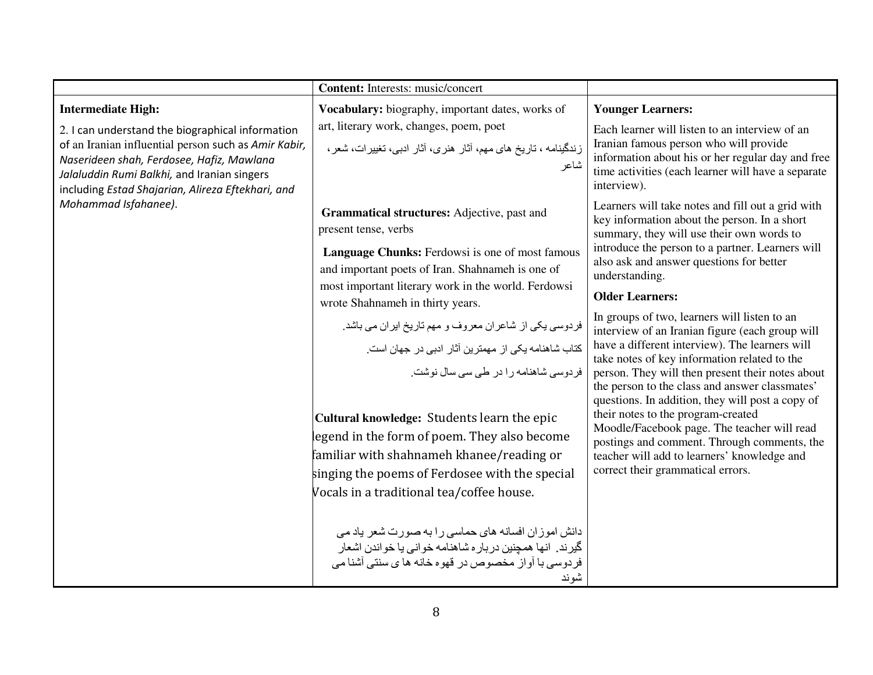|                                                                                                                                                                                                                                                           | <b>Content:</b> Interests: music/concert                                                                                                                                                                                                |                                                                                                                                                                                                                                                                                                         |
|-----------------------------------------------------------------------------------------------------------------------------------------------------------------------------------------------------------------------------------------------------------|-----------------------------------------------------------------------------------------------------------------------------------------------------------------------------------------------------------------------------------------|---------------------------------------------------------------------------------------------------------------------------------------------------------------------------------------------------------------------------------------------------------------------------------------------------------|
| <b>Intermediate High:</b>                                                                                                                                                                                                                                 | Vocabulary: biography, important dates, works of                                                                                                                                                                                        | <b>Younger Learners:</b>                                                                                                                                                                                                                                                                                |
| 2. I can understand the biographical information<br>of an Iranian influential person such as Amir Kabir,<br>Naserideen shah, Ferdosee, Hafiz, Mawlana<br>Jalaluddin Rumi Balkhi, and Iranian singers<br>including Estad Shajarian, Alireza Eftekhari, and | art, literary work, changes, poem, poet<br>زندگینامه ، تاریخ های مهم، أثار هنری، أثار ادبی، تغییرات، شعر،<br>شاعر                                                                                                                       | Each learner will listen to an interview of an<br>Iranian famous person who will provide<br>information about his or her regular day and free<br>time activities (each learner will have a separate<br>interview).                                                                                      |
| Mohammad Isfahanee).                                                                                                                                                                                                                                      | Grammatical structures: Adjective, past and<br>present tense, verbs<br>Language Chunks: Ferdowsi is one of most famous<br>and important poets of Iran. Shahnameh is one of<br>most important literary work in the world. Ferdowsi       | Learners will take notes and fill out a grid with<br>key information about the person. In a short<br>summary, they will use their own words to<br>introduce the person to a partner. Learners will<br>also ask and answer questions for better<br>understanding.                                        |
|                                                                                                                                                                                                                                                           | wrote Shahnameh in thirty years.                                                                                                                                                                                                        | <b>Older Learners:</b>                                                                                                                                                                                                                                                                                  |
|                                                                                                                                                                                                                                                           | فردوسی یکی از شاعران معروف و مهم تاریخ ایران می باشد <sub>.</sub><br>کتاب شاهنامه یکی از مهمترین آثار ادبی در جهان است.<br>فر دوسی شاهنامه را در طی سی سال نوشت.                                                                        | In groups of two, learners will listen to an<br>interview of an Iranian figure (each group will<br>have a different interview). The learners will<br>take notes of key information related to the<br>person. They will then present their notes about<br>the person to the class and answer classmates' |
|                                                                                                                                                                                                                                                           | Cultural knowledge: Students learn the epic<br>legend in the form of poem. They also become<br>familiar with shahnameh khanee/reading or<br>singing the poems of Ferdosee with the special<br>Vocals in a traditional tea/coffee house. | questions. In addition, they will post a copy of<br>their notes to the program-created<br>Moodle/Facebook page. The teacher will read<br>postings and comment. Through comments, the<br>teacher will add to learners' knowledge and<br>correct their grammatical errors.                                |
|                                                                                                                                                                                                                                                           | دانش اموزان افسانه های حماسی را به صورت شعر یاد می<br>گیرند. انها همچنین درباره شاهنامه خوانی یا خواندن اشعار<br>فر دوسی با آو از مخصوص در قهوه خانه ها ی سنتی آشنا می<br>شوند                                                          |                                                                                                                                                                                                                                                                                                         |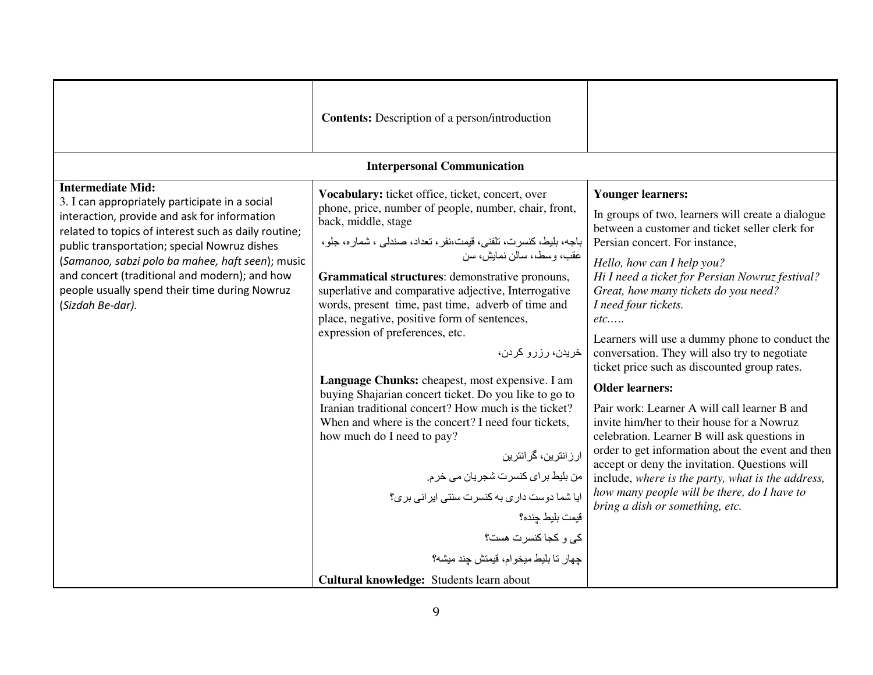|                                                                                                                                                                                                                                                                                                                                                                                                              | <b>Contents:</b> Description of a person/introduction                                                                                                                                                                                                                                                                                                                                                                                                                                                                                                                                                                                                                                                                                                                                                                                                                                                                                                                                                      |                                                                                                                                                                                                                                                                                                                                                                                                                                                                                                                                                                                                                                                                                                                                                                                                                                                                                                             |
|--------------------------------------------------------------------------------------------------------------------------------------------------------------------------------------------------------------------------------------------------------------------------------------------------------------------------------------------------------------------------------------------------------------|------------------------------------------------------------------------------------------------------------------------------------------------------------------------------------------------------------------------------------------------------------------------------------------------------------------------------------------------------------------------------------------------------------------------------------------------------------------------------------------------------------------------------------------------------------------------------------------------------------------------------------------------------------------------------------------------------------------------------------------------------------------------------------------------------------------------------------------------------------------------------------------------------------------------------------------------------------------------------------------------------------|-------------------------------------------------------------------------------------------------------------------------------------------------------------------------------------------------------------------------------------------------------------------------------------------------------------------------------------------------------------------------------------------------------------------------------------------------------------------------------------------------------------------------------------------------------------------------------------------------------------------------------------------------------------------------------------------------------------------------------------------------------------------------------------------------------------------------------------------------------------------------------------------------------------|
|                                                                                                                                                                                                                                                                                                                                                                                                              | <b>Interpersonal Communication</b>                                                                                                                                                                                                                                                                                                                                                                                                                                                                                                                                                                                                                                                                                                                                                                                                                                                                                                                                                                         |                                                                                                                                                                                                                                                                                                                                                                                                                                                                                                                                                                                                                                                                                                                                                                                                                                                                                                             |
| <b>Intermediate Mid:</b><br>3. I can appropriately participate in a social<br>interaction, provide and ask for information<br>related to topics of interest such as daily routine;<br>public transportation; special Nowruz dishes<br>(Samanoo, sabzi polo ba mahee, haft seen); music<br>and concert (traditional and modern); and how<br>people usually spend their time during Nowruz<br>(Sizdah Be-dar). | Vocabulary: ticket office, ticket, concert, over<br>phone, price, number of people, number, chair, front,<br>back, middle, stage<br>باجه، بليط، كنسرت، تلفني، فيمت،نفر، تعداد، صندلي ، شماره، جلو،<br>عقب، وسط،، سالن نمايش، سن<br>Grammatical structures: demonstrative pronouns,<br>superlative and comparative adjective, Interrogative<br>words, present time, past time, adverb of time and<br>place, negative, positive form of sentences,<br>expression of preferences, etc.<br>خريدن، رزرو كردن،<br>Language Chunks: cheapest, most expensive. I am<br>buying Shajarian concert ticket. Do you like to go to<br>Iranian traditional concert? How much is the ticket?<br>When and where is the concert? I need four tickets,<br>how much do I need to pay?<br>ارزانترین، گرانترین<br>من بليط براي كنسرت شجريان مي خرم.<br>ایا شما دوست داری به کنسرت سنتی ایرانی بری؟<br>قيمت بليط چنده؟<br>کی و کجا کنسرت هست؟<br>جهار تا بليط ميخوام، قيمتش جند ميشه؟<br>Cultural knowledge: Students learn about | <b>Younger learners:</b><br>In groups of two, learners will create a dialogue<br>between a customer and ticket seller clerk for<br>Persian concert. For instance,<br>Hello, how can I help you?<br>Hi I need a ticket for Persian Nowruz festival?<br>Great, how many tickets do you need?<br>I need four tickets.<br>$etc. \ldots$<br>Learners will use a dummy phone to conduct the<br>conversation. They will also try to negotiate<br>ticket price such as discounted group rates.<br><b>Older learners:</b><br>Pair work: Learner A will call learner B and<br>invite him/her to their house for a Nowruz<br>celebration. Learner B will ask questions in<br>order to get information about the event and then<br>accept or deny the invitation. Questions will<br>include, where is the party, what is the address,<br>how many people will be there, do I have to<br>bring a dish or something, etc. |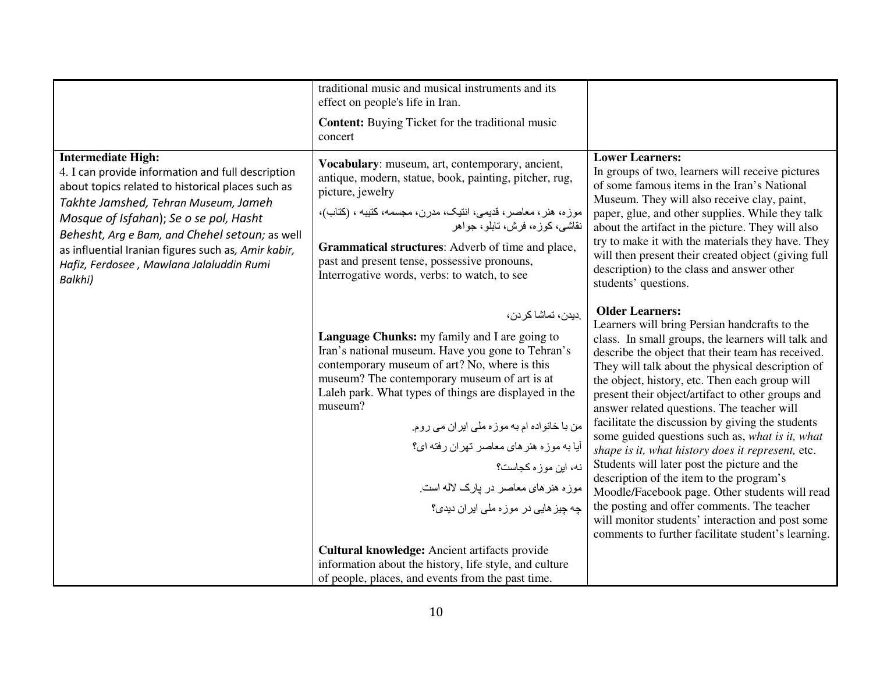|                                                                                                                                                                                                                                                                                                                                                                                       | traditional music and musical instruments and its<br>effect on people's life in Iran.                                                                                                                                                                                                                                                                                                                                                                                                                                                                                                                                     |                                                                                                                                                                                                                                                                                                                                                                                                                                                                                                                                                                                                                                                                                                                                                                                                                                                                |
|---------------------------------------------------------------------------------------------------------------------------------------------------------------------------------------------------------------------------------------------------------------------------------------------------------------------------------------------------------------------------------------|---------------------------------------------------------------------------------------------------------------------------------------------------------------------------------------------------------------------------------------------------------------------------------------------------------------------------------------------------------------------------------------------------------------------------------------------------------------------------------------------------------------------------------------------------------------------------------------------------------------------------|----------------------------------------------------------------------------------------------------------------------------------------------------------------------------------------------------------------------------------------------------------------------------------------------------------------------------------------------------------------------------------------------------------------------------------------------------------------------------------------------------------------------------------------------------------------------------------------------------------------------------------------------------------------------------------------------------------------------------------------------------------------------------------------------------------------------------------------------------------------|
|                                                                                                                                                                                                                                                                                                                                                                                       | <b>Content:</b> Buying Ticket for the traditional music<br>concert                                                                                                                                                                                                                                                                                                                                                                                                                                                                                                                                                        |                                                                                                                                                                                                                                                                                                                                                                                                                                                                                                                                                                                                                                                                                                                                                                                                                                                                |
| <b>Intermediate High:</b><br>4. I can provide information and full description<br>about topics related to historical places such as<br>Takhte Jamshed, Tehran Museum, Jameh<br>Mosque of Isfahan); Se o se pol, Hasht<br>Behesht, Arg e Bam, and Chehel setoun; as well<br>as influential Iranian figures such as, Amir kabir,<br>Hafiz, Ferdosee, Mawlana Jalaluddin Rumi<br>Balkhi) | Vocabulary: museum, art, contemporary, ancient,<br>antique, modern, statue, book, painting, pitcher, rug,<br>picture, jewelry<br>موزه، هنر، معاصر، قدیمی، انتیک، مدرن، مجسمه، کتیبه ، (کتاب)،<br>نقاشي، کو ز ه، فر ش، تابلو ، جو اهر<br>Grammatical structures: Adverb of time and place,<br>past and present tense, possessive pronouns,<br>Interrogative words, verbs: to watch, to see                                                                                                                                                                                                                                 | <b>Lower Learners:</b><br>In groups of two, learners will receive pictures<br>of some famous items in the Iran's National<br>Museum. They will also receive clay, paint,<br>paper, glue, and other supplies. While they talk<br>about the artifact in the picture. They will also<br>try to make it with the materials they have. They<br>will then present their created object (giving full<br>description) to the class and answer other<br>students' questions.                                                                                                                                                                                                                                                                                                                                                                                            |
|                                                                                                                                                                                                                                                                                                                                                                                       | ِديدن، تماشا كر دن،<br><b>Language Chunks:</b> my family and I are going to<br>Iran's national museum. Have you gone to Tehran's<br>contemporary museum of art? No, where is this<br>museum? The contemporary museum of art is at<br>Laleh park. What types of things are displayed in the<br>museum?<br>من با خانواده ام به موزه ملي ايران مي روم.<br>أيا به موزه هنر هاي معاصر تهران رفته اي؟<br>نه، این موزه کجاست؟<br>موزه هنر های معاصر در پارک لاله است.<br>چه چیز هایی در موز ه ملی ایر ان دیدی؟<br><b>Cultural knowledge:</b> Ancient artifacts provide<br>information about the history, life style, and culture | <b>Older Learners:</b><br>Learners will bring Persian handcrafts to the<br>class. In small groups, the learners will talk and<br>describe the object that their team has received.<br>They will talk about the physical description of<br>the object, history, etc. Then each group will<br>present their object/artifact to other groups and<br>answer related questions. The teacher will<br>facilitate the discussion by giving the students<br>some guided questions such as, what is it, what<br>shape is it, what history does it represent, etc.<br>Students will later post the picture and the<br>description of the item to the program's<br>Moodle/Facebook page. Other students will read<br>the posting and offer comments. The teacher<br>will monitor students' interaction and post some<br>comments to further facilitate student's learning. |
|                                                                                                                                                                                                                                                                                                                                                                                       | of people, places, and events from the past time.                                                                                                                                                                                                                                                                                                                                                                                                                                                                                                                                                                         |                                                                                                                                                                                                                                                                                                                                                                                                                                                                                                                                                                                                                                                                                                                                                                                                                                                                |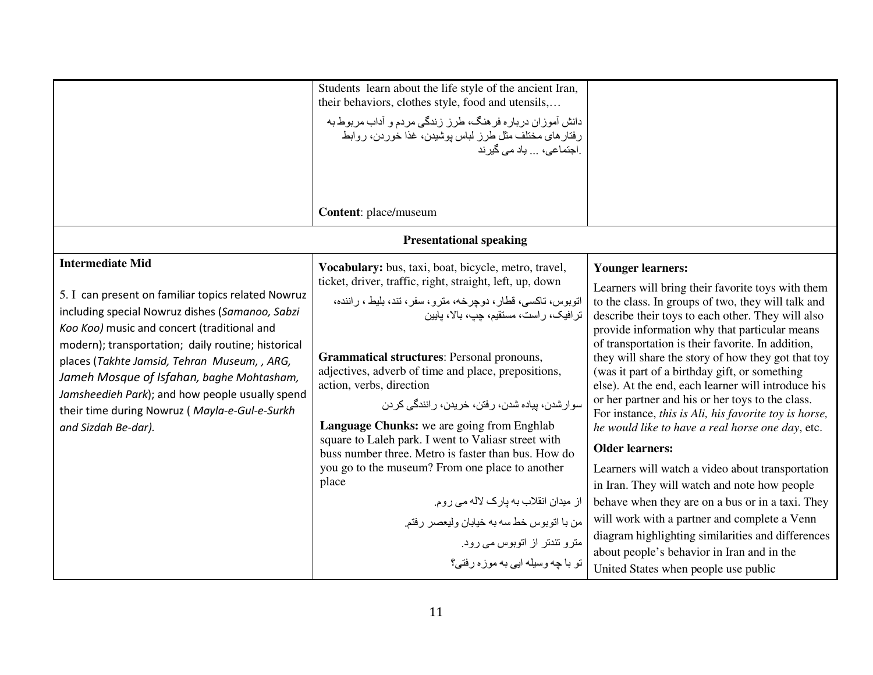|                                                                                                                                                                                                                                                                                                                                                                                                                                                               | Students learn about the life style of the ancient Iran,<br>their behaviors, clothes style, food and utensils,<br>دانش آموزان درباره فرهنگ، طرز زندگی مردم و أداب مربوط به<br>رفتار های مختلف مثل طرز لباس پوشیدن، غذا خوردن، روابط<br>ِاجتماعی، <sub>…</sub> یاد مے گیر ند<br><b>Content:</b> place/museum                                                                                                                                                                                                                                                                                                                          |                                                                                                                                                                                                                                                                                                                                                                                                                                                                                                                                                                                                                                                                                                            |
|---------------------------------------------------------------------------------------------------------------------------------------------------------------------------------------------------------------------------------------------------------------------------------------------------------------------------------------------------------------------------------------------------------------------------------------------------------------|--------------------------------------------------------------------------------------------------------------------------------------------------------------------------------------------------------------------------------------------------------------------------------------------------------------------------------------------------------------------------------------------------------------------------------------------------------------------------------------------------------------------------------------------------------------------------------------------------------------------------------------|------------------------------------------------------------------------------------------------------------------------------------------------------------------------------------------------------------------------------------------------------------------------------------------------------------------------------------------------------------------------------------------------------------------------------------------------------------------------------------------------------------------------------------------------------------------------------------------------------------------------------------------------------------------------------------------------------------|
|                                                                                                                                                                                                                                                                                                                                                                                                                                                               | <b>Presentational speaking</b>                                                                                                                                                                                                                                                                                                                                                                                                                                                                                                                                                                                                       |                                                                                                                                                                                                                                                                                                                                                                                                                                                                                                                                                                                                                                                                                                            |
| <b>Intermediate Mid</b><br>5. I can present on familiar topics related Nowruz<br>including special Nowruz dishes (Samanoo, Sabzi<br>Koo Koo) music and concert (traditional and<br>modern); transportation; daily routine; historical<br>places (Takhte Jamsid, Tehran Museum, , ARG,<br>Jameh Mosque of Isfahan, baghe Mohtasham,<br>Jamsheedieh Park); and how people usually spend<br>their time during Nowruz (Mayla-e-Gul-e-Surkh<br>and Sizdah Be-dar). | Vocabulary: bus, taxi, boat, bicycle, metro, travel,<br>ticket, driver, traffic, right, straight, left, up, down<br>اتوبوس، تاکسی، قطار ، دوچرخه، مترو، سفر ، تند، بلیط ، راننده،<br>ترافیک، راست، مستقیم، چپ، بالا، پایین<br>Grammatical structures: Personal pronouns,<br>adjectives, adverb of time and place, prepositions,<br>action, verbs, direction<br>سوارشدن، بیاده شدن، رفتن، خریدن، رانندگی کردن<br>Language Chunks: we are going from Enghlab<br>square to Laleh park. I went to Valiasr street with<br>buss number three. Metro is faster than bus. How do<br>you go to the museum? From one place to another<br>place | <b>Younger learners:</b><br>Learners will bring their favorite toys with them<br>to the class. In groups of two, they will talk and<br>describe their toys to each other. They will also<br>provide information why that particular means<br>of transportation is their favorite. In addition,<br>they will share the story of how they got that toy<br>(was it part of a birthday gift, or something<br>else). At the end, each learner will introduce his<br>or her partner and his or her toys to the class.<br>For instance, this is Ali, his favorite toy is horse,<br>he would like to have a real horse one day, etc.<br><b>Older learners:</b><br>Learners will watch a video about transportation |
|                                                                                                                                                                                                                                                                                                                                                                                                                                                               | از میدان انقلاب به پارک لاله می روم.<br>من با اتوبوس خط سه به خيابان وليعصر رفتم.<br>مترو تندتر از اتوبوس می رود.<br>تو با چه وسیله ایی به موزه رفتی؟                                                                                                                                                                                                                                                                                                                                                                                                                                                                                | in Iran. They will watch and note how people<br>behave when they are on a bus or in a taxi. They<br>will work with a partner and complete a Venn<br>diagram highlighting similarities and differences<br>about people's behavior in Iran and in the<br>United States when people use public                                                                                                                                                                                                                                                                                                                                                                                                                |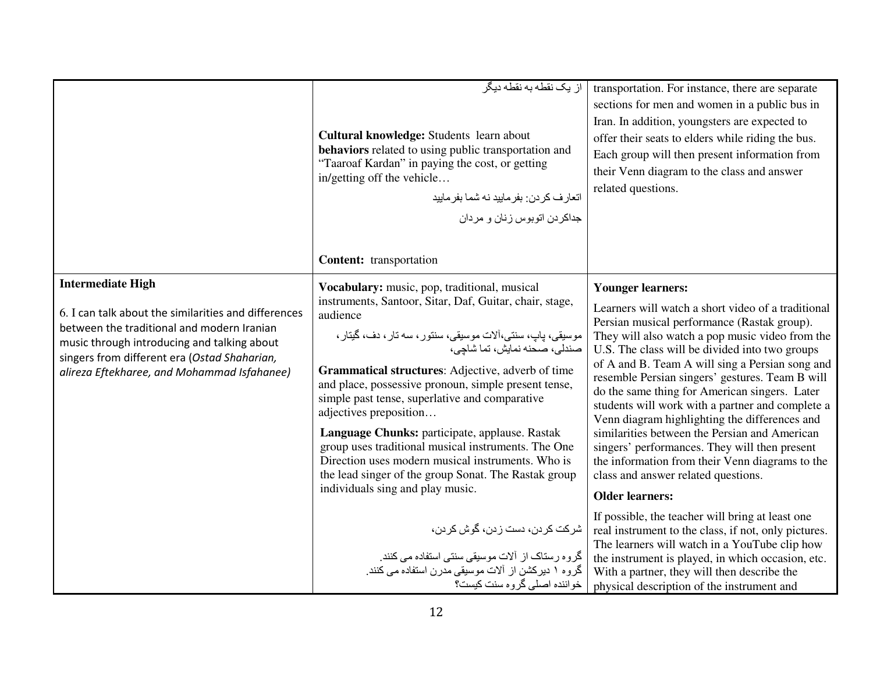|                                                                                                                                                                                                                                                                              | از یک نقطه به نقطه دیگر<br>Cultural knowledge: Students learn about<br>behaviors related to using public transportation and<br>"Taaroaf Kardan" in paying the cost, or getting<br>in/getting off the vehicle<br>اتعارف كردن: بفرماييد نه شما بفرماييد<br>جداكردن اتوبوس زنان و مردان                                                                                                                                                                                                                                                                                                                                              | transportation. For instance, there are separate<br>sections for men and women in a public bus in<br>Iran. In addition, youngsters are expected to<br>offer their seats to elders while riding the bus.<br>Each group will then present information from<br>their Venn diagram to the class and answer<br>related questions.                                                                                                                                                                                                                                                                                                                                                               |
|------------------------------------------------------------------------------------------------------------------------------------------------------------------------------------------------------------------------------------------------------------------------------|-----------------------------------------------------------------------------------------------------------------------------------------------------------------------------------------------------------------------------------------------------------------------------------------------------------------------------------------------------------------------------------------------------------------------------------------------------------------------------------------------------------------------------------------------------------------------------------------------------------------------------------|--------------------------------------------------------------------------------------------------------------------------------------------------------------------------------------------------------------------------------------------------------------------------------------------------------------------------------------------------------------------------------------------------------------------------------------------------------------------------------------------------------------------------------------------------------------------------------------------------------------------------------------------------------------------------------------------|
|                                                                                                                                                                                                                                                                              | Content: transportation                                                                                                                                                                                                                                                                                                                                                                                                                                                                                                                                                                                                           |                                                                                                                                                                                                                                                                                                                                                                                                                                                                                                                                                                                                                                                                                            |
| <b>Intermediate High</b><br>6. I can talk about the similarities and differences<br>between the traditional and modern Iranian<br>music through introducing and talking about<br>singers from different era (Ostad Shaharian,<br>alireza Eftekharee, and Mohammad Isfahanee) | Vocabulary: music, pop, traditional, musical<br>instruments, Santoor, Sitar, Daf, Guitar, chair, stage,<br>audience<br>موسیقی، پاپ، سنتی،آلات موسیقی، سنتور ، سه تار ، دف، گیتار ،<br>صندلی، صحنه نمایش، تما شاچی،<br>Grammatical structures: Adjective, adverb of time<br>and place, possessive pronoun, simple present tense,<br>simple past tense, superlative and comparative<br>adjectives preposition<br>Language Chunks: participate, applause. Rastak<br>group uses traditional musical instruments. The One<br>Direction uses modern musical instruments. Who is<br>the lead singer of the group Sonat. The Rastak group | <b>Younger learners:</b><br>Learners will watch a short video of a traditional<br>Persian musical performance (Rastak group).<br>They will also watch a pop music video from the<br>U.S. The class will be divided into two groups<br>of A and B. Team A will sing a Persian song and<br>resemble Persian singers' gestures. Team B will<br>do the same thing for American singers. Later<br>students will work with a partner and complete a<br>Venn diagram highlighting the differences and<br>similarities between the Persian and American<br>singers' performances. They will then present<br>the information from their Venn diagrams to the<br>class and answer related questions. |
|                                                                                                                                                                                                                                                                              | individuals sing and play music.                                                                                                                                                                                                                                                                                                                                                                                                                                                                                                                                                                                                  | <b>Older learners:</b>                                                                                                                                                                                                                                                                                                                                                                                                                                                                                                                                                                                                                                                                     |
|                                                                                                                                                                                                                                                                              | شركت كردن، دست زدن، گوش كردن،<br>گروه رستاک از آلات موسیقی سنتی استفاده می کنند.<br>گروه ۱ دیرکشن از آلات موسیقی مدرن استفاده می کنند.<br>خواننده اصلي گروه سنت کيست؟                                                                                                                                                                                                                                                                                                                                                                                                                                                             | If possible, the teacher will bring at least one<br>real instrument to the class, if not, only pictures.<br>The learners will watch in a YouTube clip how<br>the instrument is played, in which occasion, etc.<br>With a partner, they will then describe the<br>physical description of the instrument and                                                                                                                                                                                                                                                                                                                                                                                |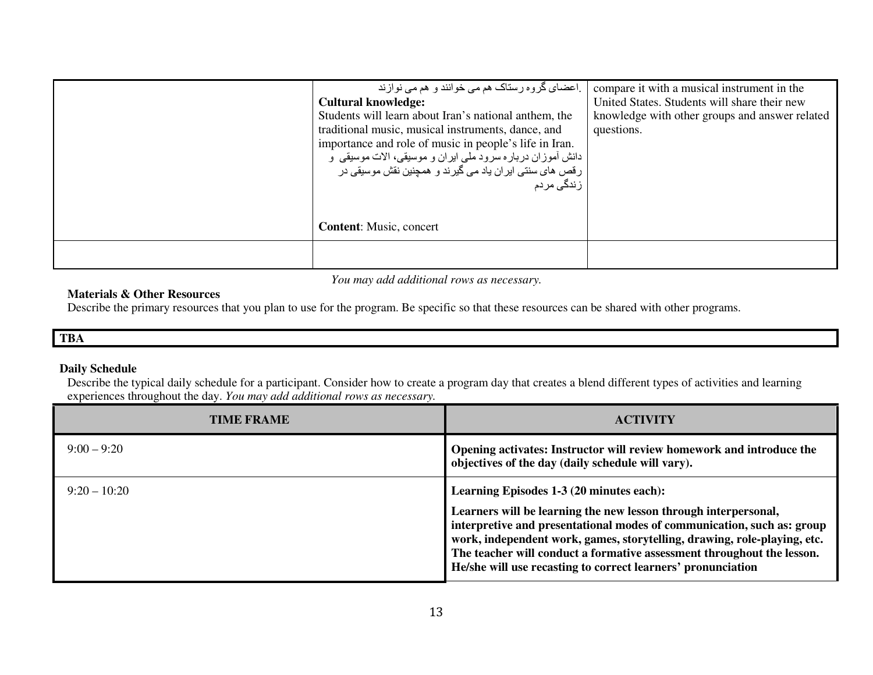| ِاعضای گروه رستاک هم می خوانند و هم می نوازند ِ<br><b>Cultural knowledge:</b><br>Students will learn about Iran's national anthem, the<br>traditional music, musical instruments, dance, and<br>importance and role of music in people's life in Iran.<br>دانش آموزان درباره سرود ملي ايران و موسيقي، الات موسيقى و<br>ر قص های سنتی ایر ان یاد می گیر ند و همچنین نقش موسیقی در<br>زندگ <i>ی</i> مردم | compare it with a musical instrument in the<br>United States. Students will share their new<br>knowledge with other groups and answer related<br>questions. |
|--------------------------------------------------------------------------------------------------------------------------------------------------------------------------------------------------------------------------------------------------------------------------------------------------------------------------------------------------------------------------------------------------------|-------------------------------------------------------------------------------------------------------------------------------------------------------------|
| <b>Content:</b> Music, concert                                                                                                                                                                                                                                                                                                                                                                         |                                                                                                                                                             |
|                                                                                                                                                                                                                                                                                                                                                                                                        |                                                                                                                                                             |

*You may add additional rows as necessary.*

## **Materials & Other Resources**

Describe the primary resources that you plan to use for the program. Be specific so that these resources can be shared with other programs.

### **TBA**

## **Daily Schedule**

 Describe the typical daily schedule for a participant. Consider how to create a program day that creates a blend different types of activities and learning experiences throughout the day. *You may add additional rows as necessary.* 

| TIME FRAME    | <b>ACTIVITY</b>                                                                                                                                                                                                                                                                                                                                                                                             |
|---------------|-------------------------------------------------------------------------------------------------------------------------------------------------------------------------------------------------------------------------------------------------------------------------------------------------------------------------------------------------------------------------------------------------------------|
| $9:00 - 9:20$ | Opening activates: Instructor will review homework and introduce the<br>objectives of the day (daily schedule will vary).                                                                                                                                                                                                                                                                                   |
| $9:20-10:20$  | Learning Episodes 1-3 (20 minutes each):<br>Learners will be learning the new lesson through interpersonal,<br>interpretive and presentational modes of communication, such as: group<br>work, independent work, games, storytelling, drawing, role-playing, etc.<br>The teacher will conduct a formative assessment throughout the lesson.<br>He/she will use recasting to correct learners' pronunciation |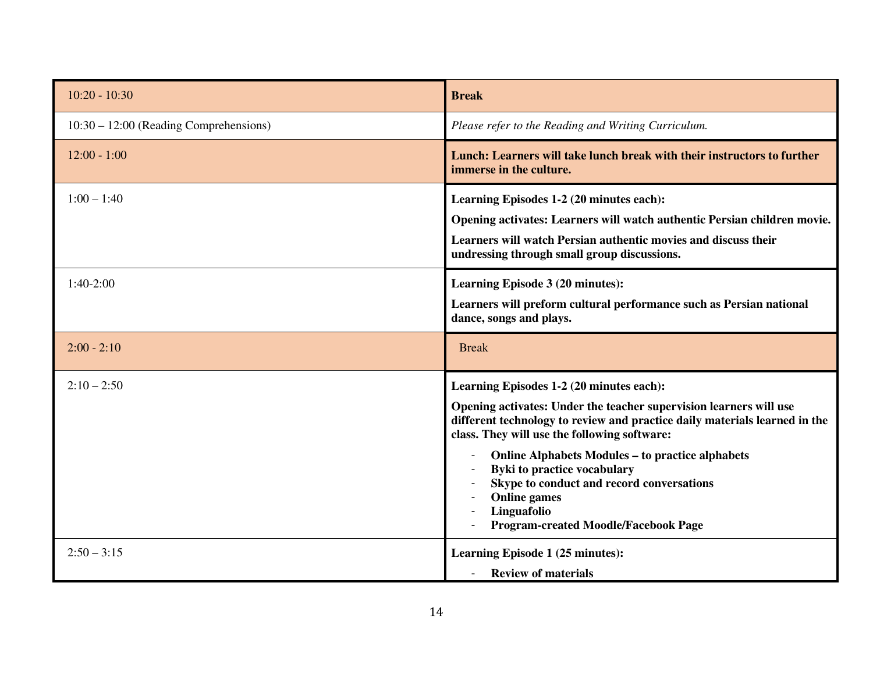| $10:20 - 10:30$                          | <b>Break</b>                                                                                                                                                                                                                                                                                                                                                                                                                                                             |
|------------------------------------------|--------------------------------------------------------------------------------------------------------------------------------------------------------------------------------------------------------------------------------------------------------------------------------------------------------------------------------------------------------------------------------------------------------------------------------------------------------------------------|
| $10:30 - 12:00$ (Reading Comprehensions) | Please refer to the Reading and Writing Curriculum.                                                                                                                                                                                                                                                                                                                                                                                                                      |
| $12:00 - 1:00$                           | Lunch: Learners will take lunch break with their instructors to further<br>immerse in the culture.                                                                                                                                                                                                                                                                                                                                                                       |
| $1:00 - 1:40$                            | Learning Episodes 1-2 (20 minutes each):<br>Opening activates: Learners will watch authentic Persian children movie.<br>Learners will watch Persian authentic movies and discuss their<br>undressing through small group discussions.                                                                                                                                                                                                                                    |
| $1:40-2:00$                              | Learning Episode 3 (20 minutes):<br>Learners will preform cultural performance such as Persian national<br>dance, songs and plays.                                                                                                                                                                                                                                                                                                                                       |
| $2:00 - 2:10$                            | <b>Break</b>                                                                                                                                                                                                                                                                                                                                                                                                                                                             |
| $2:10 - 2:50$                            | Learning Episodes 1-2 (20 minutes each):<br>Opening activates: Under the teacher supervision learners will use<br>different technology to review and practice daily materials learned in the<br>class. They will use the following software:<br><b>Online Alphabets Modules - to practice alphabets</b><br>Byki to practice vocabulary<br>Skype to conduct and record conversations<br><b>Online games</b><br>Linguafolio<br><b>Program-created Moodle/Facebook Page</b> |
| $2:50 - 3:15$                            | Learning Episode 1 (25 minutes):<br><b>Review of materials</b>                                                                                                                                                                                                                                                                                                                                                                                                           |